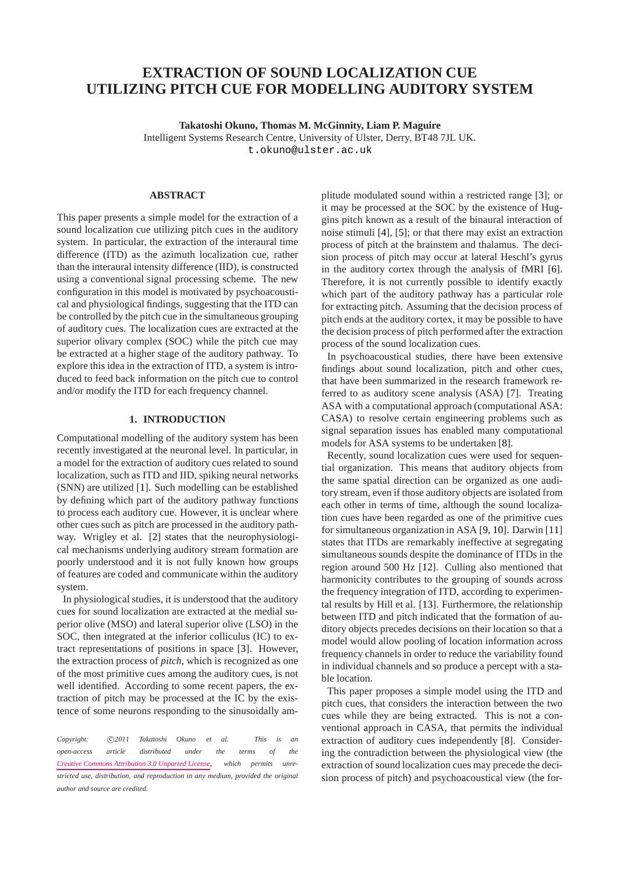# **EXTRACTION OF SOUND LOCALIZATION CUE UTILIZING PITCH CUE FOR MODELLING AUDITORY SYSTEM**

**Takatoshi Okuno, Thomas M. McGinnity, Liam P. Maguire**

Intelligent Systems Research Centre, University of Ulster, Derry, BT48 7JL UK.

[t.okuno@ulster.ac.uk](mailto:t.okuno@ulster.ac.uk)

#### **ABSTRACT**

This paper presents a simple model for the extraction of a sound localization cue utilizing pitch cues in the auditory system. In particular, the extraction of the interaural time difference (ITD) as the azimuth localization cue, rather than the interaural intensity difference (IID), is constructed using a conventional signal processing scheme. The new configuration in this model is motivated by psychoacoustical and physiological findings, suggesting that the ITD can be controlled by the pitch cue in the simultaneous grouping of auditory cues. The localization cues are extracted at the superior olivary complex (SOC) while the pitch cue may be extracted at a higher stage of the auditory pathway. To explore this idea in the extraction of ITD, a system is introduced to feed back information on the pitch cue to control and/or modify the ITD for each frequency channel.

#### **1. INTRODUCTION**

Computational modelling of the auditory system has been recently investigated at the neuronal level. In particular, in a model for the extraction of auditory cues related to sound localization, such as ITD and IID, spiking neural networks (SNN) are utilized [\[1\]](#page-5-0). Such modelling can be established by defining which part of the auditory pathway functions to process each auditory cue. However, it is unclear where other cues such as pitch are processed in the auditory pathway. Wrigley et al. [\[2\]](#page-5-1) states that the neurophysiological mechanisms underlying auditory stream formation are poorly understood and it is not fully known how groups of features are coded and communicate within the auditory system.

In physiological studies, it is understood that the auditory cues for sound localization are extracted at the medial superior olive (MSO) and lateral superior olive (LSO) in the SOC, then integrated at the inferior colliculus (IC) to extract representations of positions in space [\[3\]](#page-5-2). However, the extraction process of *pitch*, which is recognized as one of the most primitive cues among the auditory cues, is not well identified. According to some recent papers, the extraction of pitch may be processed at the IC by the existence of some neurons responding to the sinusoidally am-

*Copyright:*  $\bigcirc$ 2011 Takatoshi Okuno et al. This is an *open-access article distributed under the terms of the [Creative Commons Attribution 3.0 Unported License,](http://creativecommons.org/licenses/by/3.0/) which permits unrestricted use, distribution, and reproduction in any medium, provided the original author and source are credited.*

plitude modulated sound within a restricted range [\[3\]](#page-5-2); or it may be processed at the SOC by the existence of Huggins pitch known as a result of the binaural interaction of noise stimuli [\[4\]](#page-5-3), [\[5\]](#page-5-4); or that there may exist an extraction process of pitch at the brainstem and thalamus. The decision process of pitch may occur at lateral Heschl's gyrus in the auditory cortex through the analysis of fMRI [\[6\]](#page-5-5). Therefore, it is not currently possible to identify exactly which part of the auditory pathway has a particular role for extracting pitch. Assuming that the decision process of pitch ends at the auditory cortex, it may be possible to have the decision process of pitch performed after the extraction process of the sound localization cues.

In psychoacoustical studies, there have been extensive findings about sound localization, pitch and other cues, that have been summarized in the research framework referred to as auditory scene analysis (ASA) [\[7\]](#page-5-6). Treating ASA with a computational approach (computational ASA: CASA) to resolve certain engineering problems such as signal separation issues has enabled many computational models for ASA systems to be undertaken [\[8\]](#page-5-7).

Recently, sound localization cues were used for sequential organization. This means that auditory objects from the same spatial direction can be organized as one auditory stream, even if those auditory objects are isolated from each other in terms of time, although the sound localization cues have been regarded as one of the primitive cues for simultaneous organization in ASA [\[9,](#page-5-8) [10\]](#page-5-9). Darwin [\[11\]](#page-5-10) states that ITDs are remarkably ineffective at segregating simultaneous sounds despite the dominance of ITDs in the region around 500 Hz [\[12\]](#page-5-11). Culling also mentioned that harmonicity contributes to the grouping of sounds across the frequency integration of ITD, according to experimental results by Hill et al. [\[13\]](#page-5-12). Furthermore, the relationship between ITD and pitch indicated that the formation of auditory objects precedes decisions on their location so that a model would allow pooling of location information across frequency channels in order to reduce the variability found in individual channels and so produce a percept with a stable location.

This paper proposes a simple model using the ITD and pitch cues, that considers the interaction between the two cues while they are being extracted. This is not a conventional approach in CASA, that permits the individual extraction of auditory cues independently [\[8\]](#page-5-7). Considering the contradiction between the physiological view (the extraction of sound localization cues may precede the decision process of pitch) and psychoacoustical view (the for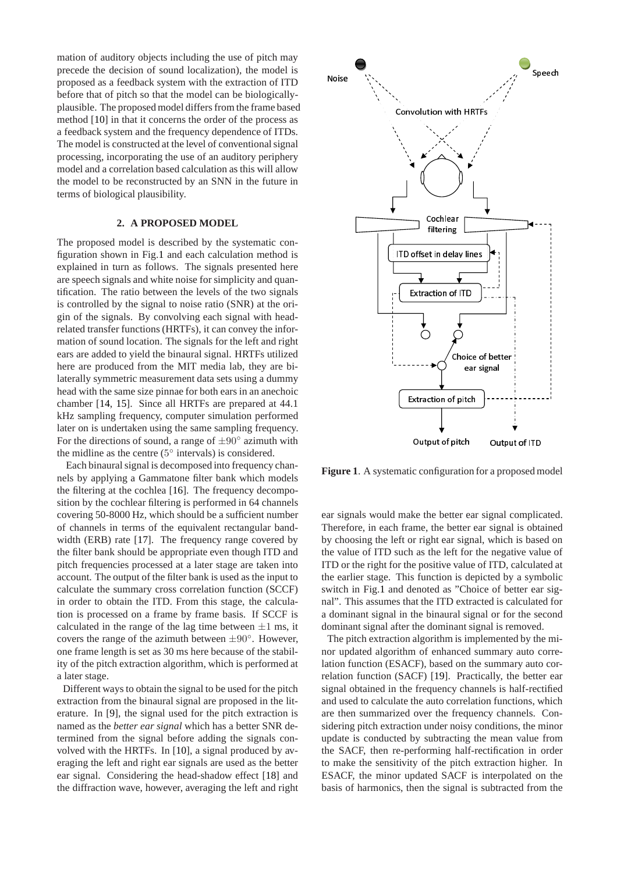mation of auditory objects including the use of pitch may precede the decision of sound localization), the model is proposed as a feedback system with the extraction of ITD before that of pitch so that the model can be biologicallyplausible. The proposed model differs from the frame based method [\[10\]](#page-5-9) in that it concerns the order of the process as a feedback system and the frequency dependence of ITDs. The model is constructed at the level of conventional signal processing, incorporating the use of an auditory periphery model and a correlation based calculation as this will allow the model to be reconstructed by an SNN in the future in terms of biological plausibility.

## **2. A PROPOSED MODEL**

The proposed model is described by the systematic configuration shown in Fig[.1](#page-1-0) and each calculation method is explained in turn as follows. The signals presented here are speech signals and white noise for simplicity and quantification. The ratio between the levels of the two signals is controlled by the signal to noise ratio (SNR) at the origin of the signals. By convolving each signal with headrelated transfer functions (HRTFs), it can convey the information of sound location. The signals for the left and right ears are added to yield the binaural signal. HRTFs utilized here are produced from the MIT media lab, they are bilaterally symmetric measurement data sets using a dummy head with the same size pinnae for both ears in an anechoic chamber [\[14,](#page-5-13) [15\]](#page-5-14). Since all HRTFs are prepared at 44.1 kHz sampling frequency, computer simulation performed later on is undertaken using the same sampling frequency. For the directions of sound, a range of  $\pm 90^\circ$  azimuth with the midline as the centre  $(5^{\circ}$  intervals) is considered.

Each binaural signal is decomposed into frequency channels by applying a Gammatone filter bank which models the filtering at the cochlea [\[16\]](#page-5-15). The frequency decomposition by the cochlear filtering is performed in 64 channels covering 50-8000 Hz, which should be a sufficient number of channels in terms of the equivalent rectangular band-width (ERB) rate [\[17\]](#page-5-16). The frequency range covered by the filter bank should be appropriate even though ITD and pitch frequencies processed at a later stage are taken into account. The output of the filter bank is used as the input to calculate the summary cross correlation function (SCCF) in order to obtain the ITD. From this stage, the calculation is processed on a frame by frame basis. If SCCF is calculated in the range of the lag time between  $\pm 1$  ms, it covers the range of the azimuth between  $\pm 90^\circ$ . However, one frame length is set as 30 ms here because of the stability of the pitch extraction algorithm, which is performed at a later stage.

Different ways to obtain the signal to be used for the pitch extraction from the binaural signal are proposed in the literature. In [\[9\]](#page-5-8), the signal used for the pitch extraction is named as the *better ear signal* which has a better SNR determined from the signal before adding the signals convolved with the HRTFs. In [\[10\]](#page-5-9), a signal produced by averaging the left and right ear signals are used as the better ear signal. Considering the head-shadow effect [\[18\]](#page-5-17) and the diffraction wave, however, averaging the left and right

<span id="page-1-0"></span>

**Figure 1**. A systematic configuration for a proposed model

ear signals would make the better ear signal complicated. Therefore, in each frame, the better ear signal is obtained by choosing the left or right ear signal, which is based on the value of ITD such as the left for the negative value of ITD or the right for the positive value of ITD, calculated at the earlier stage. This function is depicted by a symbolic switch in Fig[.1](#page-1-0) and denoted as "Choice of better ear signal". This assumes that the ITD extracted is calculated for a dominant signal in the binaural signal or for the second dominant signal after the dominant signal is removed.

The pitch extraction algorithm is implemented by the minor updated algorithm of enhanced summary auto correlation function (ESACF), based on the summary auto correlation function (SACF) [\[19\]](#page-5-18). Practically, the better ear signal obtained in the frequency channels is half-rectified and used to calculate the auto correlation functions, which are then summarized over the frequency channels. Considering pitch extraction under noisy conditions, the minor update is conducted by subtracting the mean value from the SACF, then re-performing half-rectification in order to make the sensitivity of the pitch extraction higher. In ESACF, the minor updated SACF is interpolated on the basis of harmonics, then the signal is subtracted from the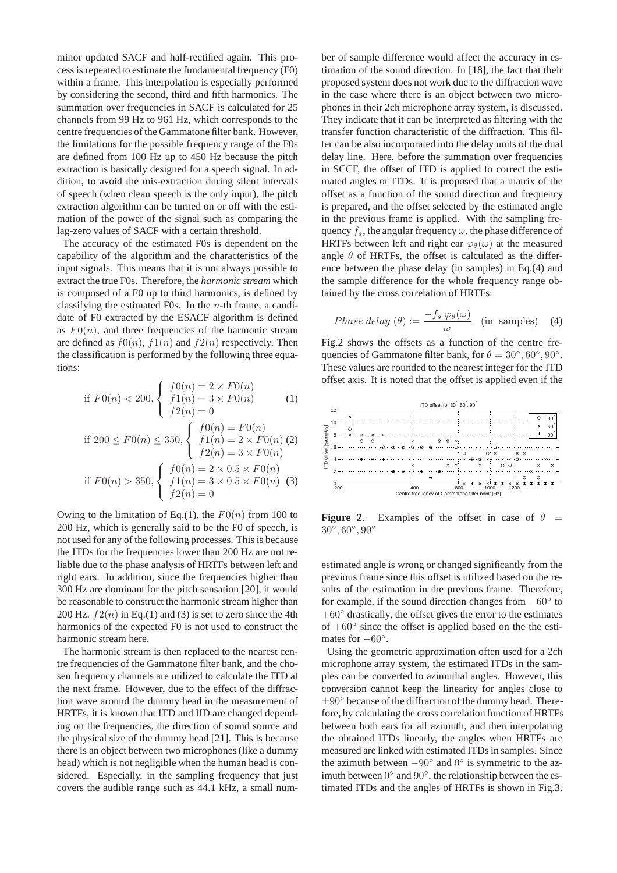minor updated SACF and half-rectified again. This process is repeated to estimate the fundamental frequency (F0) within a frame. This interpolation is especially performed by considering the second, third and fifth harmonics. The summation over frequencies in SACF is calculated for 25 channels from 99 Hz to 961 Hz, which corresponds to the centre frequencies of the Gammatone filter bank. However, the limitations for the possible frequency range of the F0s are defined from 100 Hz up to 450 Hz because the pitch extraction is basically designed for a speech signal. In addition, to avoid the mis-extraction during silent intervals of speech (when clean speech is the only input), the pitch extraction algorithm can be turned on or off with the estimation of the power of the signal such as comparing the lag-zero values of SACF with a certain threshold.

The accuracy of the estimated F0s is dependent on the capability of the algorithm and the characteristics of the input signals. This means that it is not always possible to extract the true F0s. Therefore, the *harmonic stream* which is composed of a F0 up to third harmonics, is defined by classifying the estimated F0s. In the  $n$ -th frame, a candidate of F0 extracted by the ESACF algorithm is defined as  $F(0(n))$ , and three frequencies of the harmonic stream are defined as  $f(0(n), f(1(n))$  and  $f(2(n))$  respectively. Then the classification is performed by the following three equations:

if 
$$
F0(n) < 200
$$
, 
$$
\begin{cases} f0(n) = 2 \times F0(n) \\ f1(n) = 3 \times F0(n) \\ f2(n) = 0 \end{cases}
$$
 (1)  
if  $200 \le F0(n) \le 350$ , 
$$
\begin{cases} f0(n) = F0(n) \\ f1(n) = 2 \times F0(n) \\ f3(n) = 3 \times F0(n) \end{cases}
$$

$$
f2(n) = 3 \times F0(n)
$$
  
if  $F0(n) > 350$ , 
$$
\begin{cases} f0(n) = 2 \times 0.5 \times F0(n) \\ f1(n) = 3 \times 0.5 \times F0(n) \\ f2(n) = 0 \end{cases}
$$
 (3)

Owing to the limitation of Eq.(1), the  $F0(n)$  from 100 to 200 Hz, which is generally said to be the F0 of speech, is not used for any of the following processes. This is because the ITDs for the frequencies lower than 200 Hz are not reliable due to the phase analysis of HRTFs between left and right ears. In addition, since the frequencies higher than 300 Hz are dominant for the pitch sensation [\[20\]](#page-5-19), it would be reasonable to construct the harmonic stream higher than 200 Hz.  $f2(n)$  in Eq.(1) and (3) is set to zero since the 4th harmonics of the expected F0 is not used to construct the harmonic stream here.

The harmonic stream is then replaced to the nearest centre frequencies of the Gammatone filter bank, and the chosen frequency channels are utilized to calculate the ITD at the next frame. However, due to the effect of the diffraction wave around the dummy head in the measurement of HRTFs, it is known that ITD and IID are changed depending on the frequencies, the direction of sound source and the physical size of the dummy head [\[21\]](#page-5-20). This is because there is an object between two microphones (like a dummy head) which is not negligible when the human head is considered. Especially, in the sampling frequency that just covers the audible range such as 44.1 kHz, a small number of sample difference would affect the accuracy in estimation of the sound direction. In [\[18\]](#page-5-17), the fact that their proposed system does not work due to the diffraction wave in the case where there is an object between two microphones in their 2ch microphone array system, is discussed. They indicate that it can be interpreted as filtering with the transfer function characteristic of the diffraction. This filter can be also incorporated into the delay units of the dual delay line. Here, before the summation over frequencies in SCCF, the offset of ITD is applied to correct the estimated angles or ITDs. It is proposed that a matrix of the offset as a function of the sound direction and frequency is prepared, and the offset selected by the estimated angle in the previous frame is applied. With the sampling frequency  $f_s$ , the angular frequency  $\omega$ , the phase difference of HRTFs between left and right ear  $\varphi_{\theta}(\omega)$  at the measured angle  $\theta$  of HRTFs, the offset is calculated as the difference between the phase delay (in samples) in Eq.(4) and the sample difference for the whole frequency range obtained by the cross correlation of HRTFs:

$$
Phase delay (\theta) := \frac{-f_s \varphi_{\theta}(\omega)}{\omega} \quad \text{(in samples)} \quad (4)
$$

Fig[.2](#page-2-0) shows the offsets as a function of the centre frequencies of Gammatone filter bank, for  $\theta = 30^{\circ}, 60^{\circ}, 90^{\circ}$ . These values are rounded to the nearest integer for the ITD offset axis. It is noted that the offset is applied even if the

<span id="page-2-0"></span>

**Figure 2.** Examples of the offset in case of  $\theta$  =  $30^{\circ}, 60^{\circ}, 90^{\circ}$ 

estimated angle is wrong or changed significantly from the previous frame since this offset is utilized based on the results of the estimation in the previous frame. Therefore, for example, if the sound direction changes from −60◦ to  $+60°$  drastically, the offset gives the error to the estimates of  $+60°$  since the offset is applied based on the the estimates for  $-60^\circ$ .

Using the geometric approximation often used for a 2ch microphone array system, the estimated ITDs in the samples can be converted to azimuthal angles. However, this conversion cannot keep the linearity for angles close to  $\pm 90^\circ$  because of the diffraction of the dummy head. Therefore, by calculating the cross correlation function of HRTFs between both ears for all azimuth, and then interpolating the obtained ITDs linearly, the angles when HRTFs are measured are linked with estimated ITDs in samples. Since the azimuth between  $-90^\circ$  and  $0^\circ$  is symmetric to the azimuth between  $0^{\circ}$  and  $90^{\circ}$ , the relationship between the estimated ITDs and the angles of HRTFs is shown in Fig[.3.](#page-3-0)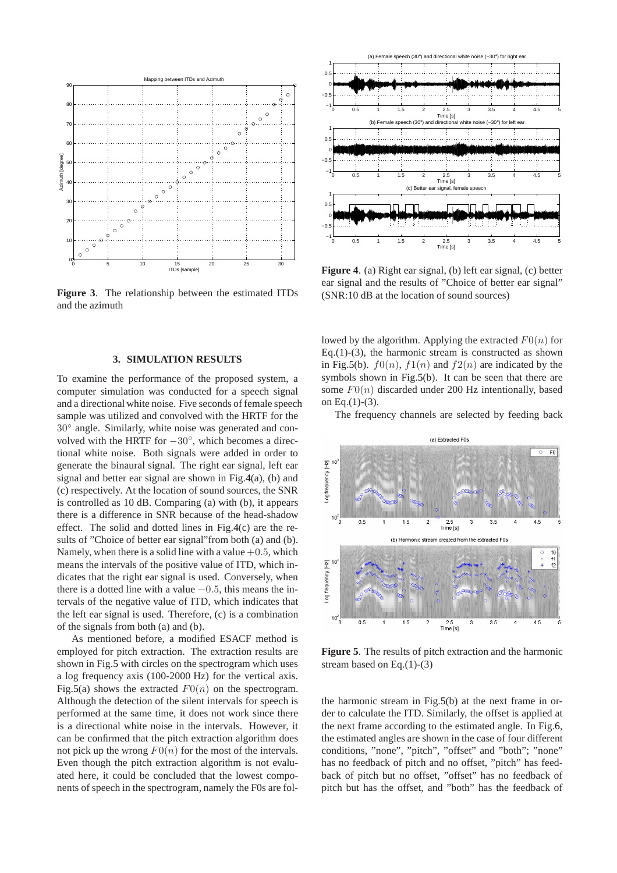<span id="page-3-0"></span>

**Figure 3**. The relationship between the estimated ITDs and the azimuth

#### **3. SIMULATION RESULTS**

To examine the performance of the proposed system, a computer simulation was conducted for a speech signal and a directional white noise. Five seconds of female speech sample was utilized and convolved with the HRTF for the 30◦ angle. Similarly, white noise was generated and convolved with the HRTF for  $-30^\circ$ , which becomes a directional white noise. Both signals were added in order to generate the binaural signal. The right ear signal, left ear signal and better ear signal are shown in Fig[.4\(](#page-3-1)a), (b) and (c) respectively. At the location of sound sources, the SNR is controlled as 10 dB. Comparing (a) with (b), it appears there is a difference in SNR because of the head-shadow effect. The solid and dotted lines in Fig[.4\(](#page-3-1)c) are the results of "Choice of better ear signal"from both (a) and (b). Namely, when there is a solid line with a value  $+0.5$ , which means the intervals of the positive value of ITD, which indicates that the right ear signal is used. Conversely, when there is a dotted line with a value  $-0.5$ , this means the intervals of the negative value of ITD, which indicates that the left ear signal is used. Therefore, (c) is a combination of the signals from both (a) and (b).

As mentioned before, a modified ESACF method is employed for pitch extraction. The extraction results are shown in Fig[.5](#page-3-2) with circles on the spectrogram which uses a log frequency axis (100-2000 Hz) for the vertical axis. Fig[.5\(](#page-3-2)a) shows the extracted  $F0(n)$  on the spectrogram. Although the detection of the silent intervals for speech is performed at the same time, it does not work since there is a directional white noise in the intervals. However, it can be confirmed that the pitch extraction algorithm does not pick up the wrong  $F0(n)$  for the most of the intervals. Even though the pitch extraction algorithm is not evaluated here, it could be concluded that the lowest components of speech in the spectrogram, namely the F0s are fol-

<span id="page-3-1"></span>

**Figure 4**. (a) Right ear signal, (b) left ear signal, (c) better ear signal and the results of "Choice of better ear signal" (SNR:10 dB at the location of sound sources)

lowed by the algorithm. Applying the extracted  $F0(n)$  for Eq.(1)-(3), the harmonic stream is constructed as shown in Fig[.5\(](#page-3-2)b).  $f(0(n), f(1(n))$  and  $f(2(n))$  are indicated by the symbols shown in Fig[.5\(](#page-3-2)b). It can be seen that there are some  $F0(n)$  discarded under 200 Hz intentionally, based on Eq. $(1)-(3)$ .

The frequency channels are selected by feeding back

<span id="page-3-2"></span>

**Figure 5**. The results of pitch extraction and the harmonic stream based on Eq.(1)-(3)

the harmonic stream in Fig[.5\(](#page-3-2)b) at the next frame in order to calculate the ITD. Similarly, the offset is applied at the next frame according to the estimated angle. In Fig[.6,](#page-4-0) the estimated angles are shown in the case of four different conditions, "none", "pitch", "offset" and "both"; "none" has no feedback of pitch and no offset, "pitch" has feedback of pitch but no offset, "offset" has no feedback of pitch but has the offset, and "both" has the feedback of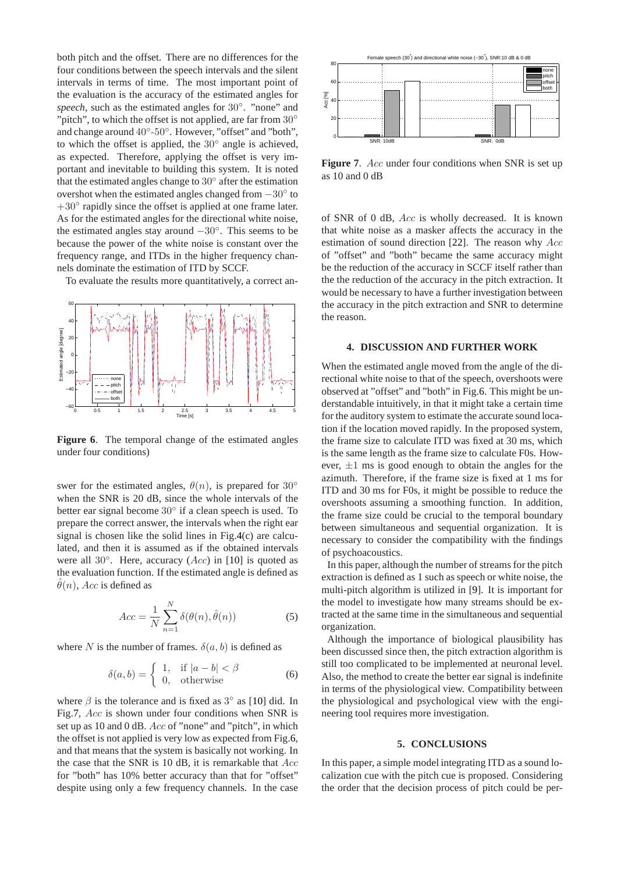both pitch and the offset. There are no differences for the four conditions between the speech intervals and the silent intervals in terms of time. The most important point of the evaluation is the accuracy of the estimated angles for speech, such as the estimated angles for 30°. "none" and "pitch", to which the offset is not applied, are far from  $30^\circ$ and change around 40°-50°. However, "offset" and "both", to which the offset is applied, the  $30^\circ$  angle is achieved, as expected. Therefore, applying the offset is very important and inevitable to building this system. It is noted that the estimated angles change to 30° after the estimation overshot when the estimated angles changed from  $-30°$  to +30° rapidly since the offset is applied at one frame later. As for the estimated angles for the directional white noise, the estimated angles stay around −30◦ . This seems to be because the power of the white noise is constant over the frequency range, and ITDs in the higher frequency channels dominate the estimation of ITD by SCCF.

To evaluate the results more quantitatively, a correct an-

<span id="page-4-0"></span>

**Figure 6**. The temporal change of the estimated angles under four conditions)

swer for the estimated angles,  $\theta(n)$ , is prepared for 30° when the SNR is 20 dB, since the whole intervals of the better ear signal become 30° if a clean speech is used. To prepare the correct answer, the intervals when the right ear signal is chosen like the solid lines in Fig[.4\(](#page-3-1)c) are calculated, and then it is assumed as if the obtained intervals were all 30 $\degree$ . Here, accuracy (Acc) in [\[10\]](#page-5-9) is quoted as the evaluation function. If the estimated angle is defined as  $\hat{\theta}(n)$ , Acc is defined as

$$
Acc = \frac{1}{N} \sum_{n=1}^{N} \delta(\theta(n), \hat{\theta}(n))
$$
 (5)

where N is the number of frames.  $\delta(a, b)$  is defined as

$$
\delta(a, b) = \begin{cases} 1, & \text{if } |a - b| < \beta \\ 0, & \text{otherwise} \end{cases}
$$
 (6)

where  $\beta$  is the tolerance and is fixed as  $3^{\circ}$  as [\[10\]](#page-5-9) did. In Fig[.7,](#page-4-1) Acc is shown under four conditions when SNR is set up as 10 and 0 dB. Acc of "none" and "pitch", in which the offset is not applied is very low as expected from Fig[.6,](#page-4-0) and that means that the system is basically not working. In the case that the SNR is 10 dB, it is remarkable that  $Acc$ for "both" has 10% better accuracy than that for "offset" despite using only a few frequency channels. In the case

<span id="page-4-1"></span>

Figure 7. Acc under four conditions when SNR is set up as 10 and 0 dB

of SNR of 0 dB, Acc is wholly decreased. It is known that white noise as a masker affects the accuracy in the estimation of sound direction [\[22\]](#page-5-21). The reason why Acc of "offset" and "both" became the same accuracy might be the reduction of the accuracy in SCCF itself rather than the the reduction of the accuracy in the pitch extraction. It would be necessary to have a further investigation between the accuracy in the pitch extraction and SNR to determine the reason.

## **4. DISCUSSION AND FURTHER WORK**

When the estimated angle moved from the angle of the directional white noise to that of the speech, overshoots were observed at "offset" and "both" in Fig[.6.](#page-4-0) This might be understandable intuitively, in that it might take a certain time for the auditory system to estimate the accurate sound location if the location moved rapidly. In the proposed system, the frame size to calculate ITD was fixed at 30 ms, which is the same length as the frame size to calculate F0s. However,  $\pm 1$  ms is good enough to obtain the angles for the azimuth. Therefore, if the frame size is fixed at 1 ms for ITD and 30 ms for F0s, it might be possible to reduce the overshoots assuming a smoothing function. In addition, the frame size could be crucial to the temporal boundary between simultaneous and sequential organization. It is necessary to consider the compatibility with the findings of psychoacoustics.

In this paper, although the number of streams for the pitch extraction is defined as 1 such as speech or white noise, the multi-pitch algorithm is utilized in [\[9\]](#page-5-8). It is important for the model to investigate how many streams should be extracted at the same time in the simultaneous and sequential organization.

Although the importance of biological plausibility has been discussed since then, the pitch extraction algorithm is still too complicated to be implemented at neuronal level. Also, the method to create the better ear signal is indefinite in terms of the physiological view. Compatibility between the physiological and psychological view with the engineering tool requires more investigation.

#### **5. CONCLUSIONS**

In this paper, a simple model integrating ITD as a sound localization cue with the pitch cue is proposed. Considering the order that the decision process of pitch could be per